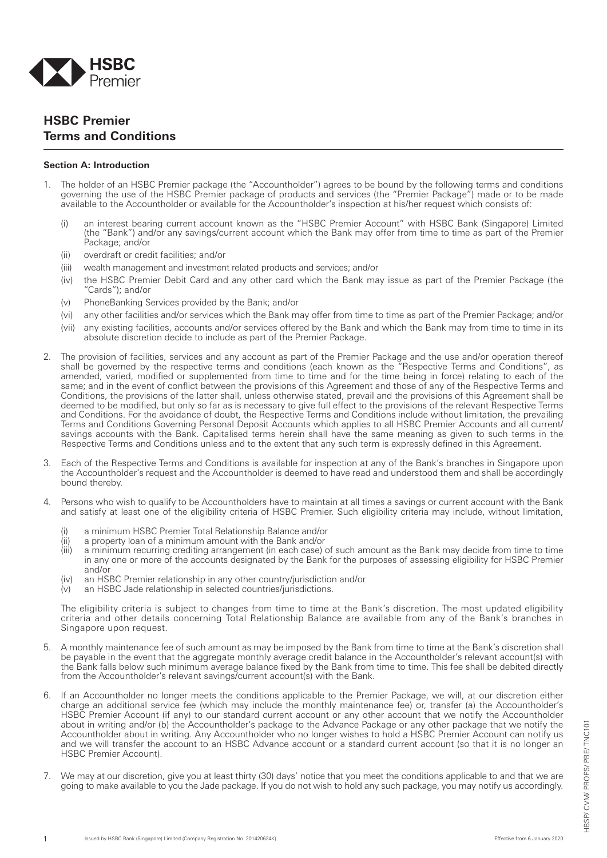

## **HSBC Premier Terms and Conditions**

## **Section A: Introduction**

- 1. The holder of an HSBC Premier package (the "Accountholder") agrees to be bound by the following terms and conditions governing the use of the HSBC Premier package of products and services (the "Premier Package") made or to be made available to the Accountholder or available for the Accountholder's inspection at his/her request which consists of:
	- (i) an interest bearing current account known as the "HSBC Premier Account" with HSBC Bank (Singapore) Limited (the "Bank") and/or any savings/current account which the Bank may offer from time to time as part of the Premier Package; and/or
	- (ii) overdraft or credit facilities; and/or
	- (iii) wealth management and investment related products and services; and/or
	- (iv) the HSBC Premier Debit Card and any other card which the Bank may issue as part of the Premier Package (the "Cards"); and/or
	- (v) PhoneBanking Services provided by the Bank; and/or
	- (vi) any other facilities and/or services which the Bank may offer from time to time as part of the Premier Package; and/or
	- (vii) any existing facilities, accounts and/or services offered by the Bank and which the Bank may from time to time in its absolute discretion decide to include as part of the Premier Package.
- 2. The provision of facilities, services and any account as part of the Premier Package and the use and/or operation thereof shall be governed by the respective terms and conditions (each known as the "Respective Terms and Conditions", as amended, varied, modified or supplemented from time to time and for the time being in force) relating to each of the same; and in the event of conflict between the provisions of this Agreement and those of any of the Respective Terms and Conditions, the provisions of the latter shall, unless otherwise stated, prevail and the provisions of this Agreement shall be deemed to be modified, but only so far as is necessary to give full effect to the provisions of the relevant Respective Terms and Conditions. For the avoidance of doubt, the Respective Terms and Conditions include without limitation, the prevailing Terms and Conditions Governing Personal Deposit Accounts which applies to all HSBC Premier Accounts and all current/ savings accounts with the Bank. Capitalised terms herein shall have the same meaning as given to such terms in the Respective Terms and Conditions unless and to the extent that any such term is expressly defined in this Agreement.
- Each of the Respective Terms and Conditions is available for inspection at any of the Bank's branches in Singapore upon the Accountholder's request and the Accountholder is deemed to have read and understood them and shall be accordingly bound thereby.
- 4. Persons who wish to qualify to be Accountholders have to maintain at all times a savings or current account with the Bank and satisfy at least one of the eligibility criteria of HSBC Premier. Such eligibility criteria may include, without limitation,
	- (i) a minimum HSBC Premier Total Relationship Balance and/or
	- a property loan of a minimum amount with the Bank and/or
	- (iii) a minimum recurring crediting arrangement (in each case) of such amount as the Bank may decide from time to time in any one or more of the accounts designated by the Bank for the purposes of assessing eligibility for HSBC Premier and/or
	- (iv) an HSBC Premier relationship in any other country/jurisdiction and/or
	- (v) an HSBC Jade relationship in selected countries/jurisdictions.

The eligibility criteria is subject to changes from time to time at the Bank's discretion. The most updated eligibility criteria and other details concerning Total Relationship Balance are available from any of the Bank's branches in Singapore upon request.

- 5. A monthly maintenance fee of such amount as may be imposed by the Bank from time to time at the Bank's discretion shall be payable in the event that the aggregate monthly average credit balance in the Accountholder's relevant account(s) with the Bank falls below such minimum average balance fixed by the Bank from time to time. This fee shall be debited directly from the Accountholder's relevant savings/current account(s) with the Bank.
- If an Accountholder no longer meets the conditions applicable to the Premier Package, we will, at our discretion either charge an additional service fee (which may include the monthly maintenance fee) or, transfer (a) the Accountholder's HSBC Premier Account (if any) to our standard current account or any other account that we notify the Accountholder about in writing and/or (b) the Accountholder's package to the Advance Package or any other package that we notify the Accountholder about in writing. Any Accountholder who no longer wishes to hold a HSBC Premier Account can notify us and we will transfer the account to an HSBC Advance account or a standard current account (so that it is no longer an HSBC Premier Account).
- 7. We may at our discretion, give you at least thirty (30) days' notice that you meet the conditions applicable to and that we are going to make available to you the Jade package. If you do not wish to hold any such package, you may notify us accordingly.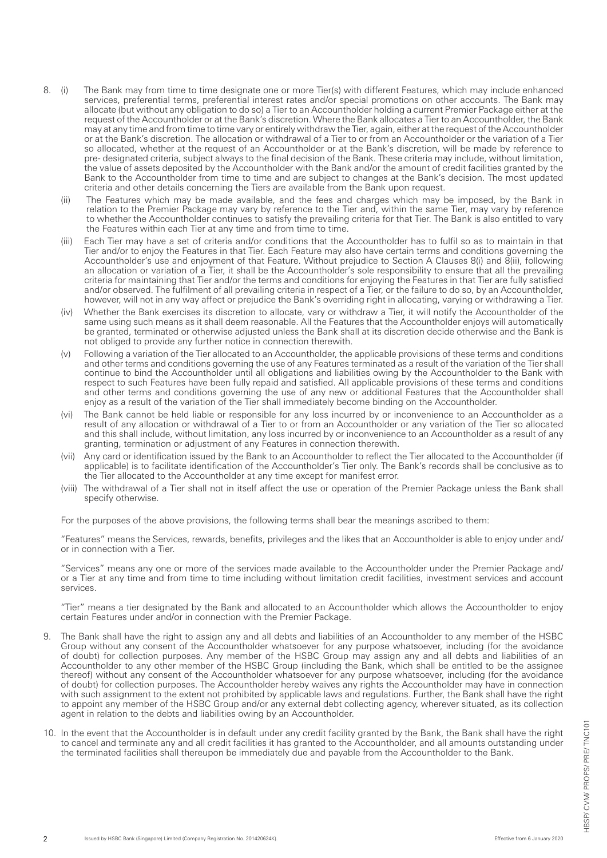- 8. (i) The Bank may from time to time designate one or more Tier(s) with different Features, which may include enhanced services, preferential terms, preferential interest rates and/or special promotions on other accounts. The Bank may allocate (but without any obligation to do so) a Tier to an Accountholder holding a current Premier Package either at the request of the Accountholder or at the Bank's discretion. Where the Bank allocates a Tier to an Accountholder, the Bank may at any time and from time to time vary or entirely withdraw the Tier, again, either at the request of the Accountholder or at the Bank's discretion. The allocation or withdrawal of a Tier to or from an Accountholder or the variation of a Tier so allocated, whether at the request of an Accountholder or at the Bank's discretion, will be made by reference to pre- designated criteria, subject always to the final decision of the Bank. These criteria may include, without limitation, the value of assets deposited by the Accountholder with the Bank and/or the amount of credit facilities granted by the Bank to the Accountholder from time to time and are subject to changes at the Bank's decision. The most updated criteria and other details concerning the Tiers are available from the Bank upon request.
	- (ii) The Features which may be made available, and the fees and charges which may be imposed, by the Bank in relation to the Premier Package may vary by reference to the Tier and, within the same Tier, may vary by reference to whether the Accountholder continues to satisfy the prevailing criteria for that Tier. The Bank is also entitled to vary the Features within each Tier at any time and from time to time.
	- (iii) Each Tier may have a set of criteria and/or conditions that the Accountholder has to fulfil so as to maintain in that Tier and/or to enjoy the Features in that Tier. Each Feature may also have certain terms and conditions governing the Accountholder's use and enjoyment of that Feature. Without prejudice to Section A Clauses 8(i) and 8(ii), following an allocation or variation of a Tier, it shall be the Accountholder's sole responsibility to ensure that all the prevailing criteria for maintaining that Tier and/or the terms and conditions for enjoying the Features in that Tier are fully satisfied and/or observed. The fulfilment of all prevailing criteria in respect of a Tier, or the failure to do so, by an Accountholder, however, will not in any way affect or prejudice the Bank's overriding right in allocating, varying or withdrawing a Tier.
	- (iv) Whether the Bank exercises its discretion to allocate, vary or withdraw a Tier, it will notify the Accountholder of the same using such means as it shall deem reasonable. All the Features that the Accountholder enjoys will automatically be granted, terminated or otherwise adjusted unless the Bank shall at its discretion decide otherwise and the Bank is not obliged to provide any further notice in connection therewith.
	- (v) Following a variation of the Tier allocated to an Accountholder, the applicable provisions of these terms and conditions and other terms and conditions governing the use of any Features terminated as a result of the variation of the Tier shall continue to bind the Accountholder until all obligations and liabilities owing by the Accountholder to the Bank with respect to such Features have been fully repaid and satisfied. All applicable provisions of these terms and conditions and other terms and conditions governing the use of any new or additional Features that the Accountholder shall enjoy as a result of the variation of the Tier shall immediately become binding on the Accountholder.
	- (vi) The Bank cannot be held liable or responsible for any loss incurred by or inconvenience to an Accountholder as a result of any allocation or withdrawal of a Tier to or from an Accountholder or any variation of the Tier so allocated and this shall include, without limitation, any loss incurred by or inconvenience to an Accountholder as a result of any granting, termination or adjustment of any Features in connection therewith.
	- (vii) Any card or identification issued by the Bank to an Accountholder to reflect the Tier allocated to the Accountholder (if applicable) is to facilitate identification of the Accountholder's Tier only. The Bank's records shall be conclusive as to the Tier allocated to the Accountholder at any time except for manifest error.
	- (viii) The withdrawal of a Tier shall not in itself affect the use or operation of the Premier Package unless the Bank shall specify otherwise.

For the purposes of the above provisions, the following terms shall bear the meanings ascribed to them:

"Features" means the Services, rewards, benefits, privileges and the likes that an Accountholder is able to enjoy under and/ or in connection with a Tier.

"Services" means any one or more of the services made available to the Accountholder under the Premier Package and/ or a Tier at any time and from time to time including without limitation credit facilities, investment services and account services.

 "Tier" means a tier designated by the Bank and allocated to an Accountholder which allows the Accountholder to enjoy certain Features under and/or in connection with the Premier Package.

- 9. The Bank shall have the right to assign any and all debts and liabilities of an Accountholder to any member of the HSBC Group without any consent of the Accountholder whatsoever for any purpose whatsoever, including (for the avoidance of doubt) for collection purposes. Any member of the HSBC Group may assign any and all debts and liabilities of an Accountholder to any other member of the HSBC Group (including the Bank, which shall be entitled to be the assignee thereof) without any consent of the Accountholder whatsoever for any purpose whatsoever, including (for the avoidance of doubt) for collection purposes. The Accountholder hereby waives any rights the Accountholder may have in connection with such assignment to the extent not prohibited by applicable laws and regulations. Further, the Bank shall have the right to appoint any member of the HSBC Group and/or any external debt collecting agency, wherever situated, as its collection agent in relation to the debts and liabilities owing by an Accountholder.
- 10. In the event that the Accountholder is in default under any credit facility granted by the Bank, the Bank shall have the right to cancel and terminate any and all credit facilities it has granted to the Accountholder, and all amounts outstanding under the terminated facilities shall thereupon be immediately due and payable from the Accountholder to the Bank.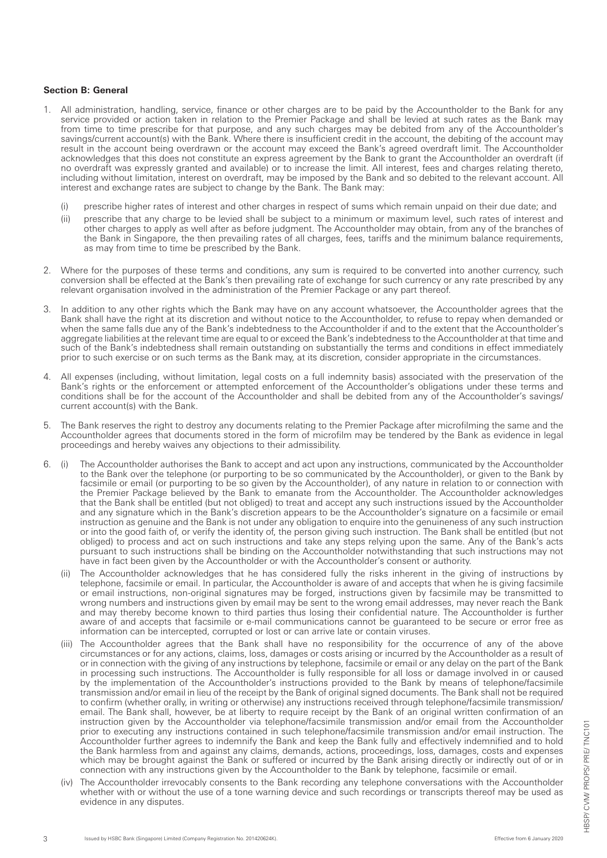## **Section B: General**

- 1. All administration, handling, service, finance or other charges are to be paid by the Accountholder to the Bank for any service provided or action taken in relation to the Premier Package and shall be levied at such rates as the Bank may from time to time prescribe for that purpose, and any such charges may be debited from any of the Accountholder's savings/current account(s) with the Bank. Where there is insufficient credit in the account, the debiting of the account may result in the account being overdrawn or the account may exceed the Bank's agreed overdraft limit. The Accountholder acknowledges that this does not constitute an express agreement by the Bank to grant the Accountholder an overdraft (if no overdraft was expressly granted and available) or to increase the limit. All interest, fees and charges relating thereto, including without limitation, interest on overdraft, may be imposed by the Bank and so debited to the relevant account. All interest and exchange rates are subject to change by the Bank. The Bank may:
	- (i) prescribe higher rates of interest and other charges in respect of sums which remain unpaid on their due date; and
	- (ii) prescribe that any charge to be levied shall be subject to a minimum or maximum level, such rates of interest and other charges to apply as well after as before judgment. The Accountholder may obtain, from any of the branches of the Bank in Singapore, the then prevailing rates of all charges, fees, tariffs and the minimum balance requirements, as may from time to time be prescribed by the Bank.
- 2. Where for the purposes of these terms and conditions, any sum is required to be converted into another currency, such conversion shall be effected at the Bank's then prevailing rate of exchange for such currency or any rate prescribed by any relevant organisation involved in the administration of the Premier Package or any part thereof.
- 3. In addition to any other rights which the Bank may have on any account whatsoever, the Accountholder agrees that the Bank shall have the right at its discretion and without notice to the Accountholder, to refuse to repay when demanded or when the same falls due any of the Bank's indebtedness to the Accountholder if and to the extent that the Accountholder's aggregate liabilities at the relevant time are equal to or exceed the Bank's indebtedness to the Accountholder at that time and such of the Bank's indebtedness shall remain outstanding on substantially the terms and conditions in effect immediately prior to such exercise or on such terms as the Bank may, at its discretion, consider appropriate in the circumstances.
- All expenses (including, without limitation, legal costs on a full indemnity basis) associated with the preservation of the Bank's rights or the enforcement or attempted enforcement of the Accountholder's obligations under these terms and conditions shall be for the account of the Accountholder and shall be debited from any of the Accountholder's savings/ current account(s) with the Bank.
- 5. The Bank reserves the right to destroy any documents relating to the Premier Package after microfilming the same and the Accountholder agrees that documents stored in the form of microfilm may be tendered by the Bank as evidence in legal proceedings and hereby waives any objections to their admissibility.
- 6. (i) The Accountholder authorises the Bank to accept and act upon any instructions, communicated by the Accountholder to the Bank over the telephone (or purporting to be so communicated by the Accountholder), or given to the Bank by facsimile or email (or purporting to be so given by the Accountholder), of any nature in relation to or connection with the Premier Package believed by the Bank to emanate from the Accountholder. The Accountholder acknowledges that the Bank shall be entitled (but not obliged) to treat and accept any such instructions issued by the Accountholder and any signature which in the Bank's discretion appears to be the Accountholder's signature on a facsimile or email instruction as genuine and the Bank is not under any obligation to enquire into the genuineness of any such instruction or into the good faith of, or verify the identity of, the person giving such instruction. The Bank shall be entitled (but not obliged) to process and act on such instructions and take any steps relying upon the same. Any of the Bank's acts pursuant to such instructions shall be binding on the Accountholder notwithstanding that such instructions may not have in fact been given by the Accountholder or with the Accountholder's consent or authority.
	- (ii) The Accountholder acknowledges that he has considered fully the risks inherent in the giving of instructions by telephone, facsimile or email. In particular, the Accountholder is aware of and accepts that when he is giving facsimile or email instructions, non-original signatures may be forged, instructions given by facsimile may be transmitted to wrong numbers and instructions given by email may be sent to the wrong email addresses, may never reach the Bank and may thereby become known to third parties thus losing their confidential nature. The Accountholder is further aware of and accepts that facsimile or e-mail communications cannot be guaranteed to be secure or error free as information can be intercepted, corrupted or lost or can arrive late or contain viruses.
	- (iii) The Accountholder agrees that the Bank shall have no responsibility for the occurrence of any of the above circumstances or for any actions, claims, loss, damages or costs arising or incurred by the Accountholder as a result of or in connection with the giving of any instructions by telephone, facsimile or email or any delay on the part of the Bank in processing such instructions. The Accountholder is fully responsible for all loss or damage involved in or caused by the implementation of the Accountholder's instructions provided to the Bank by means of telephone/facsimile transmission and/or email in lieu of the receipt by the Bank of original signed documents. The Bank shall not be required to confirm (whether orally, in writing or otherwise) any instructions received through telephone/facsimile transmission/ email. The Bank shall, however, be at liberty to require receipt by the Bank of an original written confirmation of an instruction given by the Accountholder via telephone/facsimile transmission and/or email from the Accountholder prior to executing any instructions contained in such telephone/facsimile transmission and/or email instruction. The Accountholder further agrees to indemnify the Bank and keep the Bank fully and effectively indemnified and to hold the Bank harmless from and against any claims, demands, actions, proceedings, loss, damages, costs and expenses which may be brought against the Bank or suffered or incurred by the Bank arising directly or indirectly out of or in connection with any instructions given by the Accountholder to the Bank by telephone, facsimile or email.
	- (iv) The Accountholder irrevocably consents to the Bank recording any telephone conversations with the Accountholder whether with or without the use of a tone warning device and such recordings or transcripts thereof may be used as evidence in any disputes.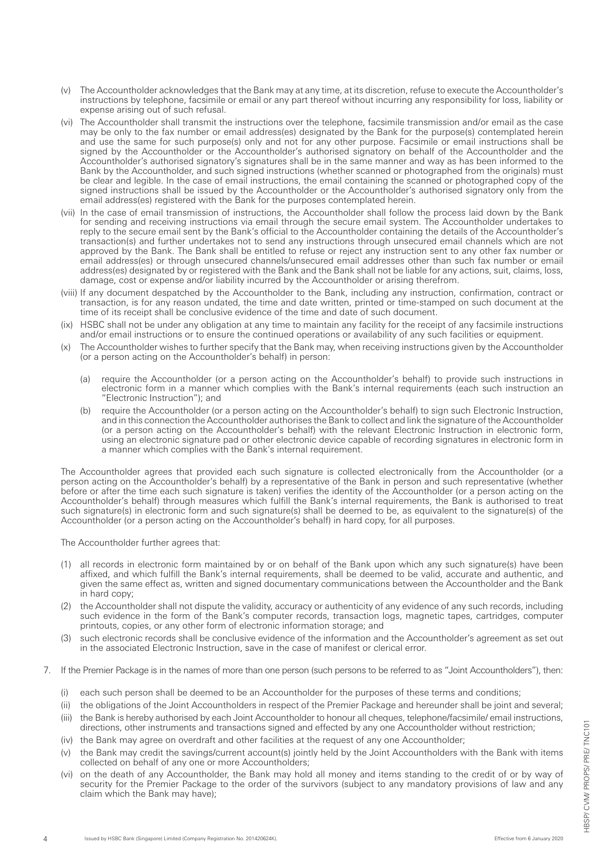- (v) The Accountholder acknowledges that the Bank may at any time, at its discretion, refuse to execute the Accountholder's instructions by telephone, facsimile or email or any part thereof without incurring any responsibility for loss, liability or expense arising out of such refusal.
- (vi) The Accountholder shall transmit the instructions over the telephone, facsimile transmission and/or email as the case may be only to the fax number or email address(es) designated by the Bank for the purpose(s) contemplated herein and use the same for such purpose(s) only and not for any other purpose. Facsimile or email instructions shall be signed by the Accountholder or the Accountholder's authorised signatory on behalf of the Accountholder and the Accountholder's authorised signatory's signatures shall be in the same manner and way as has been informed to the Bank by the Accountholder, and such signed instructions (whether scanned or photographed from the originals) must be clear and legible. In the case of email instructions, the email containing the scanned or photographed copy of the signed instructions shall be issued by the Accountholder or the Accountholder's authorised signatory only from the email address(es) registered with the Bank for the purposes contemplated herein.
- (vii) In the case of email transmission of instructions, the Accountholder shall follow the process laid down by the Bank for sending and receiving instructions via email through the secure email system. The Accountholder undertakes to reply to the secure email sent by the Bank's official to the Accountholder containing the details of the Accountholder's transaction(s) and further undertakes not to send any instructions through unsecured email channels which are not approved by the Bank. The Bank shall be entitled to refuse or reject any instruction sent to any other fax number or email address(es) or through unsecured channels/unsecured email addresses other than such fax number or email address(es) designated by or registered with the Bank and the Bank shall not be liable for any actions, suit, claims, loss, damage, cost or expense and/or liability incurred by the Accountholder or arising therefrom.
- (viii) If any document despatched by the Accountholder to the Bank, including any instruction, confirmation, contract or transaction, is for any reason undated, the time and date written, printed or time-stamped on such document at the time of its receipt shall be conclusive evidence of the time and date of such document.
- (ix) HSBC shall not be under any obligation at any time to maintain any facility for the receipt of any facsimile instructions and/or email instructions or to ensure the continued operations or availability of any such facilities or equipment.
- (x) The Accountholder wishes to further specify that the Bank may, when receiving instructions given by the Accountholder (or a person acting on the Accountholder's behalf) in person:
	- (a) require the Accountholder (or a person acting on the Accountholder's behalf) to provide such instructions in electronic form in a manner which complies with the Bank's internal requirements (each such instruction an "Electronic Instruction"); and
	- (b) require the Accountholder (or a person acting on the Accountholder's behalf) to sign such Electronic Instruction, and in this connection the Accountholder authorises the Bank to collect and link the signature of the Accountholder (or a person acting on the Accountholder's behalf) with the relevant Electronic Instruction in electronic form, using an electronic signature pad or other electronic device capable of recording signatures in electronic form in a manner which complies with the Bank's internal requirement.

The Accountholder agrees that provided each such signature is collected electronically from the Accountholder (or a person acting on the Accountholder's behalf) by a representative of the Bank in person and such representative (whether before or after the time each such signature is taken) verifies the identity of the Accountholder (or a person acting on the Accountholder's behalf) through measures which fulfill the Bank's internal requirements, the Bank is authorised to treat such signature(s) in electronic form and such signature(s) shall be deemed to be, as equivalent to the signature(s) of the Accountholder (or a person acting on the Accountholder's behalf) in hard copy, for all purposes.

The Accountholder further agrees that:

- (1) all records in electronic form maintained by or on behalf of the Bank upon which any such signature(s) have been affixed, and which fulfill the Bank's internal requirements, shall be deemed to be valid, accurate and authentic, and given the same effect as, written and signed documentary communications between the Accountholder and the Bank in hard copy;
- (2) the Accountholder shall not dispute the validity, accuracy or authenticity of any evidence of any such records, including such evidence in the form of the Bank's computer records, transaction logs, magnetic tapes, cartridges, computer printouts, copies, or any other form of electronic information storage; and
- (3) such electronic records shall be conclusive evidence of the information and the Accountholder's agreement as set out in the associated Electronic Instruction, save in the case of manifest or clerical error.
- 7. If the Premier Package is in the names of more than one person (such persons to be referred to as "Joint Accountholders"), then:
	- (i) each such person shall be deemed to be an Accountholder for the purposes of these terms and conditions;
	- (ii) the obligations of the Joint Accountholders in respect of the Premier Package and hereunder shall be joint and several;
	- (iii) the Bank is hereby authorised by each Joint Accountholder to honour all cheques, telephone/facsimile/ email instructions, directions, other instruments and transactions signed and effected by any one Accountholder without restriction;
	- (iv) the Bank may agree on overdraft and other facilities at the request of any one Accountholder;
	- (v) the Bank may credit the savings/current account(s) jointly held by the Joint Accountholders with the Bank with items collected on behalf of any one or more Accountholders;
	- (vi) on the death of any Accountholder, the Bank may hold all money and items standing to the credit of or by way of security for the Premier Package to the order of the survivors (subject to any mandatory provisions of law and any claim which the Bank may have);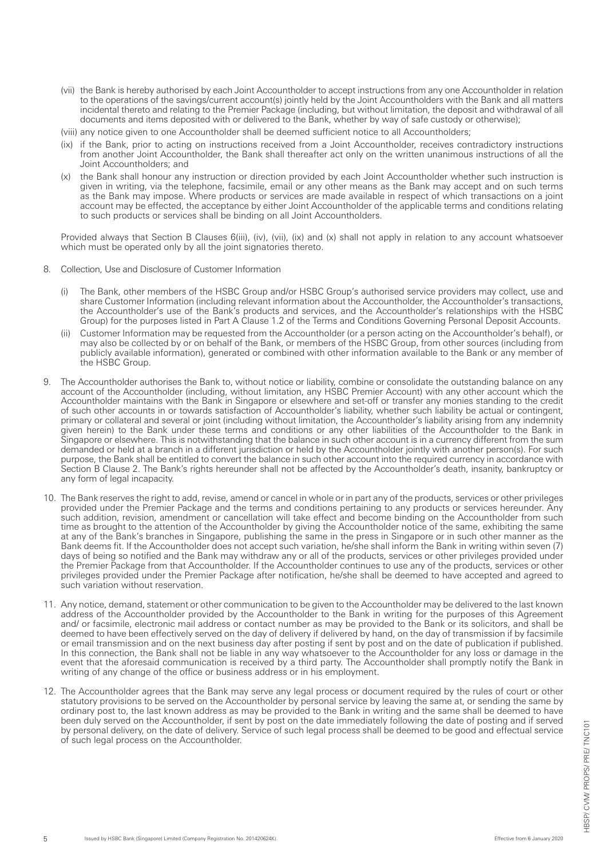- (vii) the Bank is hereby authorised by each Joint Accountholder to accept instructions from any one Accountholder in relation to the operations of the savings/current account(s) jointly held by the Joint Accountholders with the Bank and all matters incidental thereto and relating to the Premier Package (including, but without limitation, the deposit and withdrawal of all documents and items deposited with or delivered to the Bank, whether by way of safe custody or otherwise);
- (viii) any notice given to one Accountholder shall be deemed sufficient notice to all Accountholders;
- (ix) if the Bank, prior to acting on instructions received from a Joint Accountholder, receives contradictory instructions from another Joint Accountholder, the Bank shall thereafter act only on the written unanimous instructions of all the Joint Accountholders; and
- (x) the Bank shall honour any instruction or direction provided by each Joint Accountholder whether such instruction is given in writing, via the telephone, facsimile, email or any other means as the Bank may accept and on such terms as the Bank may impose. Where products or services are made available in respect of which transactions on a joint account may be effected, the acceptance by either Joint Accountholder of the applicable terms and conditions relating to such products or services shall be binding on all Joint Accountholders.

Provided always that Section B Clauses 6(iii), (iv), (vii), (ix) and (x) shall not apply in relation to any account whatsoever which must be operated only by all the joint signatories thereto.

- 8. Collection, Use and Disclosure of Customer Information
	- (i) The Bank, other members of the HSBC Group and/or HSBC Group's authorised service providers may collect, use and share Customer Information (including relevant information about the Accountholder, the Accountholder's transactions, the Accountholder's use of the Bank's products and services, and the Accountholder's relationships with the HSBC Group) for the purposes listed in Part A Clause 1.2 of the Terms and Conditions Governing Personal Deposit Accounts.
	- (ii) Customer Information may be requested from the Accountholder (or a person acting on the Accountholder's behalf), or may also be collected by or on behalf of the Bank, or members of the HSBC Group, from other sources (including from publicly available information), generated or combined with other information available to the Bank or any member of the HSBC Group.
- 9. The Accountholder authorises the Bank to, without notice or liability, combine or consolidate the outstanding balance on any account of the Accountholder (including, without limitation, any HSBC Premier Account) with any other account which the Accountholder maintains with the Bank in Singapore or elsewhere and set-off or transfer any monies standing to the credit of such other accounts in or towards satisfaction of Accountholder's liability, whether such liability be actual or contingent, primary or collateral and several or joint (including without limitation, the Accountholder's liability arising from any indemnity given herein) to the Bank under these terms and conditions or any other liabilities of the Accountholder to the Bank in Singapore or elsewhere. This is notwithstanding that the balance in such other account is in a currency different from the sum demanded or held at a branch in a different jurisdiction or held by the Accountholder jointly with another person(s). For such purpose, the Bank shall be entitled to convert the balance in such other account into the required currency in accordance with Section B Clause 2. The Bank's rights hereunder shall not be affected by the Accountholder's death, insanity, bankruptcy or any form of legal incapacity.
- 10. The Bank reserves the right to add, revise, amend or cancel in whole or in part any of the products, services or other privileges provided under the Premier Package and the terms and conditions pertaining to any products or services hereunder. Any such addition, revision, amendment or cancellation will take effect and become binding on the Accountholder from such time as brought to the attention of the Accountholder by giving the Accountholder notice of the same, exhibiting the same at any of the Bank's branches in Singapore, publishing the same in the press in Singapore or in such other manner as the Bank deems fit. If the Accountholder does not accept such variation, he/she shall inform the Bank in writing within seven (7) days of being so notified and the Bank may withdraw any or all of the products, services or other privileges provided under the Premier Package from that Accountholder. If the Accountholder continues to use any of the products, services or other privileges provided under the Premier Package after notification, he/she shall be deemed to have accepted and agreed to such variation without reservation.
- 11. Any notice, demand, statement or other communication to be given to the Accountholder may be delivered to the last known address of the Accountholder provided by the Accountholder to the Bank in writing for the purposes of this Agreement and/ or facsimile, electronic mail address or contact number as may be provided to the Bank or its solicitors, and shall be deemed to have been effectively served on the day of delivery if delivered by hand, on the day of transmission if by facsimile or email transmission and on the next business day after posting if sent by post and on the date of publication if published. In this connection, the Bank shall not be liable in any way whatsoever to the Accountholder for any loss or damage in the event that the aforesaid communication is received by a third party. The Accountholder shall promptly notify the Bank in writing of any change of the office or business address or in his employment.
- 12. The Accountholder agrees that the Bank may serve any legal process or document required by the rules of court or other statutory provisions to be served on the Accountholder by personal service by leaving the same at, or sending the same by ordinary post to, the last known address as may be provided to the Bank in writing and the same shall be deemed to have been duly served on the Accountholder, if sent by post on the date immediately following the date of posting and if served by personal delivery, on the date of delivery. Service of such legal process shall be deemed to be good and effectual service of such legal process on the Accountholder.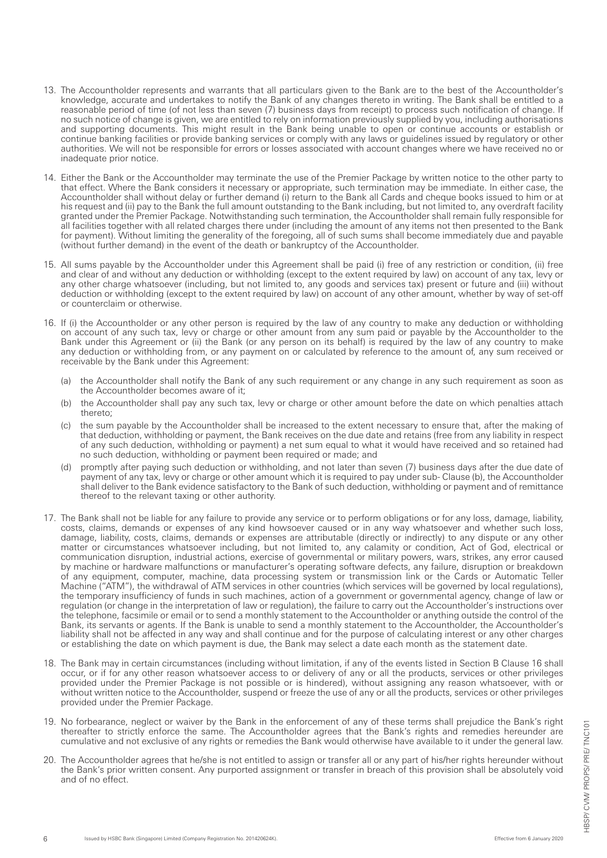- 13. The Accountholder represents and warrants that all particulars given to the Bank are to the best of the Accountholder's knowledge, accurate and undertakes to notify the Bank of any changes thereto in writing. The Bank shall be entitled to a reasonable period of time (of not less than seven (7) business days from receipt) to process such notification of change. If no such notice of change is given, we are entitled to rely on information previously supplied by you, including authorisations and supporting documents. This might result in the Bank being unable to open or continue accounts or establish or continue banking facilities or provide banking services or comply with any laws or guidelines issued by regulatory or other authorities. We will not be responsible for errors or losses associated with account changes where we have received no or inadequate prior notice.
- 14. Either the Bank or the Accountholder may terminate the use of the Premier Package by written notice to the other party to that effect. Where the Bank considers it necessary or appropriate, such termination may be immediate. In either case, the Accountholder shall without delay or further demand (i) return to the Bank all Cards and cheque books issued to him or at his request and (ii) pay to the Bank the full amount outstanding to the Bank including, but not limited to, any overdraft facility granted under the Premier Package. Notwithstanding such termination, the Accountholder shall remain fully responsible for all facilities together with all related charges there under (including the amount of any items not then presented to the Bank for payment). Without limiting the generality of the foregoing, all of such sums shall become immediately due and payable (without further demand) in the event of the death or bankruptcy of the Accountholder.
- 15. All sums payable by the Accountholder under this Agreement shall be paid (i) free of any restriction or condition, (ii) free and clear of and without any deduction or withholding (except to the extent required by law) on account of any tax, levy or any other charge whatsoever (including, but not limited to, any goods and services tax) present or future and (iii) without deduction or withholding (except to the extent required by law) on account of any other amount, whether by way of set-off or counterclaim or otherwise.
- 16. If (i) the Accountholder or any other person is required by the law of any country to make any deduction or withholding on account of any such tax, levy or charge or other amount from any sum paid or payable by the Accountholder to the Bank under this Agreement or (ii) the Bank (or any person on its behalf) is required by the law of any country to make any deduction or withholding from, or any payment on or calculated by reference to the amount of, any sum received or receivable by the Bank under this Agreement:
	- (a) the Accountholder shall notify the Bank of any such requirement or any change in any such requirement as soon as the Accountholder becomes aware of it;
	- (b) the Accountholder shall pay any such tax, levy or charge or other amount before the date on which penalties attach thereto;
	- (c) the sum payable by the Accountholder shall be increased to the extent necessary to ensure that, after the making of that deduction, withholding or payment, the Bank receives on the due date and retains (free from any liability in respect of any such deduction, withholding or payment) a net sum equal to what it would have received and so retained had no such deduction, withholding or payment been required or made; and
	- (d) promptly after paying such deduction or withholding, and not later than seven (7) business days after the due date of payment of any tax, levy or charge or other amount which it is required to pay under sub- Clause (b), the Accountholder shall deliver to the Bank evidence satisfactory to the Bank of such deduction, withholding or payment and of remittance thereof to the relevant taxing or other authority.
- 17. The Bank shall not be liable for any failure to provide any service or to perform obligations or for any loss, damage, liability, costs, claims, demands or expenses of any kind howsoever caused or in any way whatsoever and whether such loss, damage, liability, costs, claims, demands or expenses are attributable (directly or indirectly) to any dispute or any other matter or circumstances whatsoever including, but not limited to, any calamity or condition, Act of God, electrical or communication disruption, industrial actions, exercise of governmental or military powers, wars, strikes, any error caused by machine or hardware malfunctions or manufacturer's operating software defects, any failure, disruption or breakdown of any equipment, computer, machine, data processing system or transmission link or the Cards or Automatic Teller Machine ("ATM"), the withdrawal of ATM services in other countries (which services will be governed by local regulations), the temporary insufficiency of funds in such machines, action of a government or governmental agency, change of law or regulation (or change in the interpretation of law or regulation), the failure to carry out the Accountholder's instructions over the telephone, facsimile or email or to send a monthly statement to the Accountholder or anything outside the control of the Bank, its servants or agents. If the Bank is unable to send a monthly statement to the Accountholder, the Accountholder's liability shall not be affected in any way and shall continue and for the purpose of calculating interest or any other charges or establishing the date on which payment is due, the Bank may select a date each month as the statement date.
- 18. The Bank may in certain circumstances (including without limitation, if any of the events listed in Section B Clause 16 shall occur, or if for any other reason whatsoever access to or delivery of any or all the products, services or other privileges provided under the Premier Package is not possible or is hindered), without assigning any reason whatsoever, with or without written notice to the Accountholder, suspend or freeze the use of any or all the products, services or other privileges provided under the Premier Package.
- 19. No forbearance, neglect or waiver by the Bank in the enforcement of any of these terms shall prejudice the Bank's right thereafter to strictly enforce the same. The Accountholder agrees that the Bank's rights and remedies hereunder are cumulative and not exclusive of any rights or remedies the Bank would otherwise have available to it under the general law.
- 20. The Accountholder agrees that he/she is not entitled to assign or transfer all or any part of his/her rights hereunder without the Bank's prior written consent. Any purported assignment or transfer in breach of this provision shall be absolutely void and of no effect.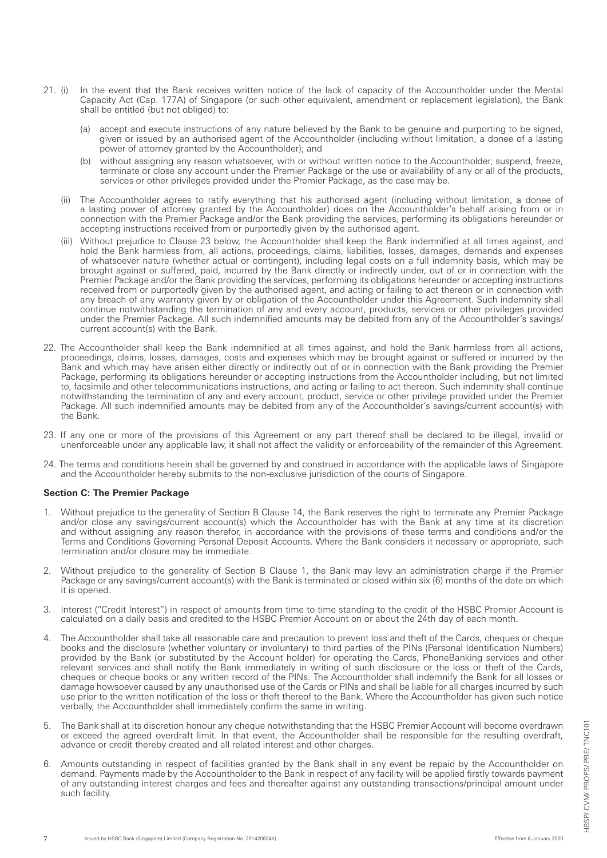- 21. (i) In the event that the Bank receives written notice of the lack of capacity of the Accountholder under the Mental Capacity Act (Cap. 177A) of Singapore (or such other equivalent, amendment or replacement legislation), the Bank shall be entitled (but not obliged) to:
	- (a) accept and execute instructions of any nature believed by the Bank to be genuine and purporting to be signed, given or issued by an authorised agent of the Accountholder (including without limitation, a donee of a lasting power of attorney granted by the Accountholder); and
- (b) without assigning any reason whatsoever, with or without written notice to the Accountholder, suspend, freeze, terminate or close any account under the Premier Package or the use or availability of any or all of the products, services or other privileges provided under the Premier Package, as the case may be.
	- (ii) The Accountholder agrees to ratify everything that his authorised agent (including without limitation, a donee of a lasting power of attorney granted by the Accountholder) does on the Accountholder's behalf arising from or in connection with the Premier Package and/or the Bank providing the services, performing its obligations hereunder or accepting instructions received from or purportedly given by the authorised agent.
	- (iii) Without prejudice to Clause 23 below, the Accountholder shall keep the Bank indemnified at all times against, and hold the Bank harmless from, all actions, proceedings, claims, liabilities, losses, damages, demands and expenses of whatsoever nature (whether actual or contingent), including legal costs on a full indemnity basis, which may be brought against or suffered, paid, incurred by the Bank directly or indirectly under, out of or in connection with the Premier Package and/or the Bank providing the services, performing its obligations hereunder or accepting instructions received from or purportedly given by the authorised agent, and acting or failing to act thereon or in connection with any breach of any warranty given by or obligation of the Accountholder under this Agreement. Such indemnity shall continue notwithstanding the termination of any and every account, products, services or other privileges provided under the Premier Package. All such indemnified amounts may be debited from any of the Accountholder's savings/ current account(s) with the Bank.
- 22. The Accountholder shall keep the Bank indemnified at all times against, and hold the Bank harmless from all actions, proceedings, claims, losses, damages, costs and expenses which may be brought against or suffered or incurred by the Bank and which may have arisen either directly or indirectly out of or in connection with the Bank providing the Premier Package, performing its obligations hereunder or accepting instructions from the Accountholder including, but not limited to, facsimile and other telecommunications instructions, and acting or failing to act thereon. Such indemnity shall continue notwithstanding the termination of any and every account, product, service or other privilege provided under the Premier Package. All such indemnified amounts may be debited from any of the Accountholder's savings/current account(s) with the Bank.
- 23. If any one or more of the provisions of this Agreement or any part thereof shall be declared to be illegal, invalid or unenforceable under any applicable law, it shall not affect the validity or enforceability of the remainder of this Agreement.
- 24. The terms and conditions herein shall be governed by and construed in accordance with the applicable laws of Singapore and the Accountholder hereby submits to the non-exclusive jurisdiction of the courts of Singapore.

## **Section C: The Premier Package**

- 1. Without prejudice to the generality of Section B Clause 14, the Bank reserves the right to terminate any Premier Package and/or close any savings/current account(s) which the Accountholder has with the Bank at any time at its discretion and without assigning any reason therefor, in accordance with the provisions of these terms and conditions and/or the Terms and Conditions Governing Personal Deposit Accounts. Where the Bank considers it necessary or appropriate, such termination and/or closure may be immediate.
- 2. Without prejudice to the generality of Section B Clause 1, the Bank may levy an administration charge if the Premier Package or any savings/current account(s) with the Bank is terminated or closed within six (6) months of the date on which it is opened.
- Interest ("Credit Interest") in respect of amounts from time to time standing to the credit of the HSBC Premier Account is calculated on a daily basis and credited to the HSBC Premier Account on or about the 24th day of each month.
- 4. The Accountholder shall take all reasonable care and precaution to prevent loss and theft of the Cards, cheques or cheque books and the disclosure (whether voluntary or involuntary) to third parties of the PINs (Personal Identification Numbers) provided by the Bank (or substituted by the Account holder) for operating the Cards, PhoneBanking services and other relevant services and shall notify the Bank immediately in writing of such disclosure or the loss or theft of the Cards, cheques or cheque books or any written record of the PINs. The Accountholder shall indemnify the Bank for all losses or damage howsoever caused by any unauthorised use of the Cards or PINs and shall be liable for all charges incurred by such use prior to the written notification of the loss or theft thereof to the Bank. Where the Accountholder has given such notice verbally, the Accountholder shall immediately confirm the same in writing.
- 5. The Bank shall at its discretion honour any cheque notwithstanding that the HSBC Premier Account will become overdrawn or exceed the agreed overdraft limit. In that event, the Accountholder shall be responsible for the resulting overdraft, advance or credit thereby created and all related interest and other charges.
- 6. Amounts outstanding in respect of facilities granted by the Bank shall in any event be repaid by the Accountholder on demand. Payments made by the Accountholder to the Bank in respect of any facility will be applied firstly towards payment of any outstanding interest charges and fees and thereafter against any outstanding transactions/principal amount under such facility.